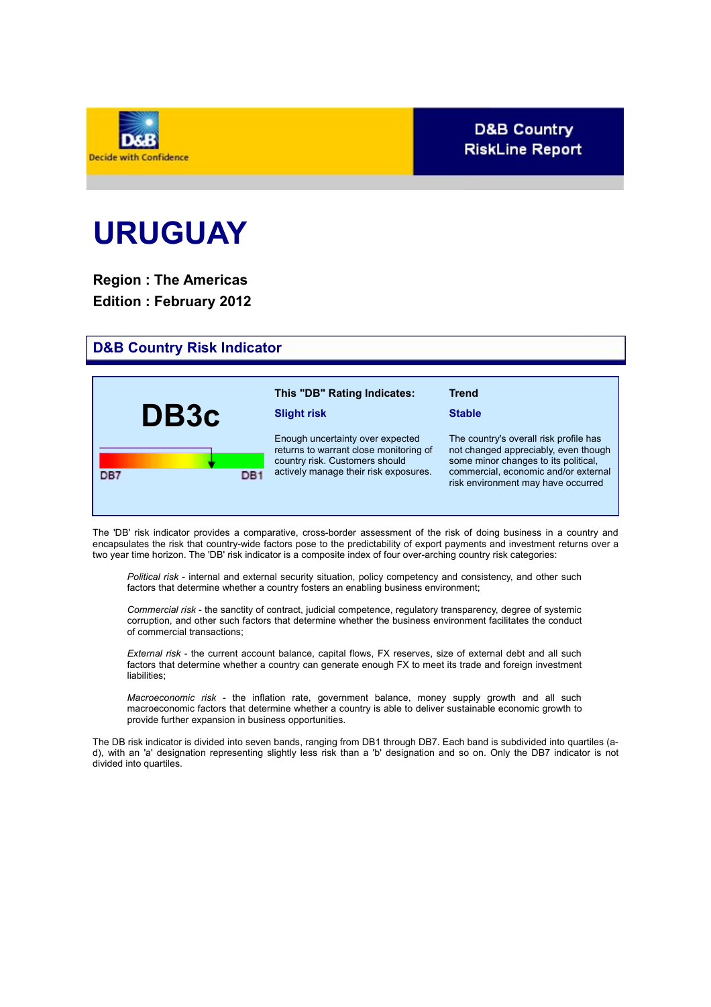

## **D&B Country RiskLine Report**

# **URUGUAY**

**Region : The Americas Edition : February 2012**

## **D&B Country Risk Indicator**

| DB3c       | This "DB" Rating Indicates:<br><b>Slight risk</b>                                                                                                     | <b>Trend</b><br><b>Stable</b>                                                                                                                                                                        |
|------------|-------------------------------------------------------------------------------------------------------------------------------------------------------|------------------------------------------------------------------------------------------------------------------------------------------------------------------------------------------------------|
| DB7<br>DB1 | Enough uncertainty over expected<br>returns to warrant close monitoring of<br>country risk. Customers should<br>actively manage their risk exposures. | The country's overall risk profile has<br>not changed appreciably, even though<br>some minor changes to its political,<br>commercial, economic and/or external<br>risk environment may have occurred |

The 'DB' risk indicator provides a comparative, cross-border assessment of the risk of doing business in a country and encapsulates the risk that country-wide factors pose to the predictability of export payments and investment returns over a two year time horizon. The 'DB' risk indicator is a composite index of four over-arching country risk categories:

*Political risk* - internal and external security situation, policy competency and consistency, and other such factors that determine whether a country fosters an enabling business environment;

*Commercial risk* - the sanctity of contract, judicial competence, regulatory transparency, degree of systemic corruption, and other such factors that determine whether the business environment facilitates the conduct of commercial transactions;

*External risk* - the current account balance, capital flows, FX reserves, size of external debt and all such factors that determine whether a country can generate enough FX to meet its trade and foreign investment liabilities;

*Macroeconomic risk* - the inflation rate, government balance, money supply growth and all such macroeconomic factors that determine whether a country is able to deliver sustainable economic growth to provide further expansion in business opportunities.

The DB risk indicator is divided into seven bands, ranging from DB1 through DB7. Each band is subdivided into quartiles (ad), with an 'a' designation representing slightly less risk than a 'b' designation and so on. Only the DB7 indicator is not divided into quartiles.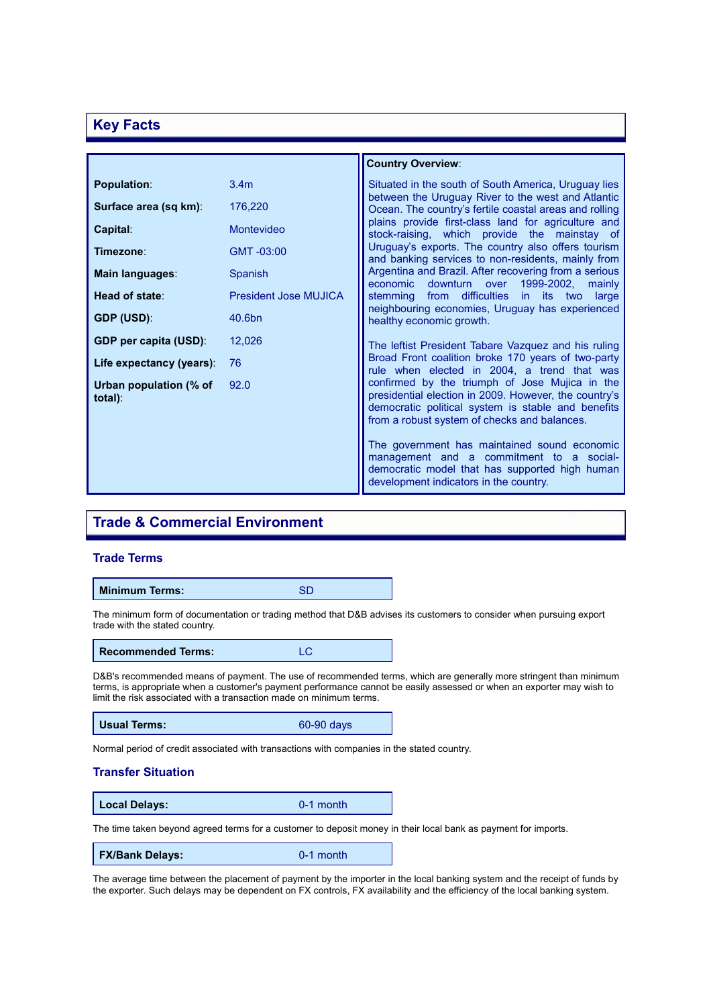## **Key Facts**

|                                      |                       | <b>Country Overview:</b>                                                                                                                                                                                      |
|--------------------------------------|-----------------------|---------------------------------------------------------------------------------------------------------------------------------------------------------------------------------------------------------------|
| <b>Population:</b>                   | 3.4 <sub>m</sub>      | Situated in the south of South America, Uruguay lies                                                                                                                                                          |
| Surface area (sq km):                | 176,220               | between the Uruguay River to the west and Atlantic<br>Ocean. The country's fertile coastal areas and rolling                                                                                                  |
| Capital:                             | Montevideo            | plains provide first-class land for agriculture and<br>stock-raising, which provide the mainstay of                                                                                                           |
| Timezone∶                            | GMT-03:00             | Uruguay's exports. The country also offers tourism<br>and banking services to non-residents, mainly from                                                                                                      |
| Main languages:                      | Spanish               | Argentina and Brazil. After recovering from a serious<br>downturn<br>1999-2002,<br>economic<br>over<br>mainly                                                                                                 |
| Head of state:                       | President Jose MUJICA | stemming from difficulties<br>in.<br>its<br>large<br>two<br>neighbouring economies, Uruguay has experienced                                                                                                   |
| <b>GDP (USD):</b>                    | 40.6bn                | healthy economic growth.                                                                                                                                                                                      |
| <b>GDP per capita (USD):</b>         | 12,026                | The leftist President Tabare Vazquez and his ruling                                                                                                                                                           |
| Life expectancy (years):             | 76                    | Broad Front coalition broke 170 years of two-party<br>rule when elected in 2004, a trend that was                                                                                                             |
| Urban population (% of<br>$total)$ : | 92.0                  | confirmed by the triumph of Jose Mujica in the<br>presidential election in 2009. However, the country's<br>democratic political system is stable and benefits<br>from a robust system of checks and balances. |
|                                      |                       | The government has maintained sound economic<br>management and a commitment to a social-<br>democratic model that has supported high human<br>development indicators in the country.                          |

## **Trade & Commercial Environment**

## **Trade Terms**

### **Minimum Terms:** SD

The minimum form of documentation or trading method that D&B advises its customers to consider when pursuing export trade with the stated country.

| <b>Recommended Terms:</b> | LC |
|---------------------------|----|
|---------------------------|----|

D&B's recommended means of payment. The use of recommended terms, which are generally more stringent than minimum terms, is appropriate when a customer's payment performance cannot be easily assessed or when an exporter may wish to limit the risk associated with a transaction made on minimum terms.

**Usual Terms:** 60-90 days

Normal period of credit associated with transactions with companies in the stated country.

## **Transfer Situation**

**Local Delays:** 0-1 month

The time taken beyond agreed terms for a customer to deposit money in their local bank as payment for imports.

**FX/Bank Delays:** 0-1 month

The average time between the placement of payment by the importer in the local banking system and the receipt of funds by the exporter. Such delays may be dependent on FX controls, FX availability and the efficiency of the local banking system.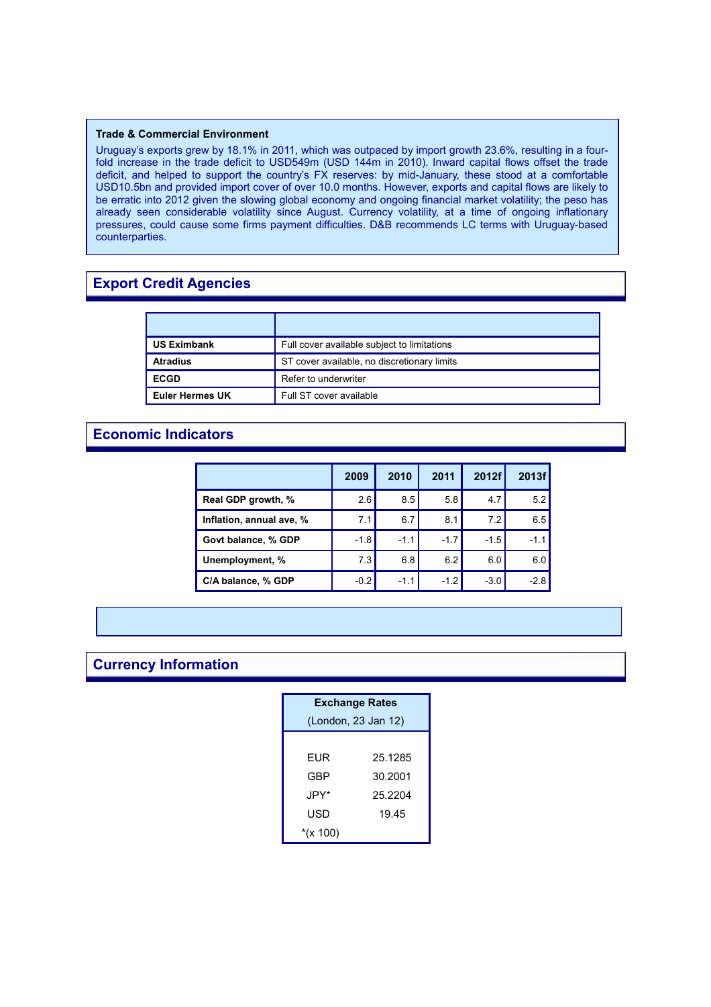#### **Trade & Commercial Environment**

Uruguay's exports grew by 18.1% in 2011, which was outpaced by import growth 23.6%, resulting in a fourfold increase in the trade deficit to USD549m (USD 144m in 2010). Inward capital flows offset the trade deficit, and helped to support the country's FX reserves: by mid-January, these stood at a comfortable USD10.5bn and provided import cover of over 10.0 months. However, exports and capital flows are likely to be erratic into 2012 given the slowing global economy and ongoing financial market volatility; the peso has already seen considerable volatility since August. Currency volatility, at a time of ongoing inflationary pressures, could cause some firms payment difficulties. D&B recommends LC terms with Uruguay-based counterparties.

## **Export Credit Agencies**

| <b>US Eximbank</b>     | Full cover available subject to limitations |
|------------------------|---------------------------------------------|
| <b>Atradius</b>        | ST cover available, no discretionary limits |
| <b>ECGD</b>            | Refer to underwriter                        |
| <b>Euler Hermes UK</b> | Full ST cover available                     |

## **Economic Indicators**

|                          | 2009   | 2010   | 2011   | 2012f  | 2013f  |
|--------------------------|--------|--------|--------|--------|--------|
| Real GDP growth, %       | 2.6    | 8.5    | 5.8    | 4.7    | 5.2    |
| Inflation, annual ave, % | 7.1    | 6.7    | 8.1    | 7.2    | 6.5    |
| Govt balance, % GDP      | $-1.8$ | $-1.1$ | $-1.7$ | $-1.5$ | $-1.1$ |
| Unemployment, %          | 7.3    | 6.8    | 6.2    | 6.0    | 6.0    |
| C/A balance, % GDP       | $-0.2$ | $-1.1$ | $-1.2$ | $-3.0$ | $-2.8$ |

## **Currency Information**

| <b>Exchange Rates</b> |         |  |
|-----------------------|---------|--|
| (London, 23 Jan 12)   |         |  |
|                       |         |  |
| EUR                   | 25.1285 |  |
| GBP                   | 30.2001 |  |
| JPY*                  | 25.2204 |  |
| USD                   | 19.45   |  |
| *(x 100)              |         |  |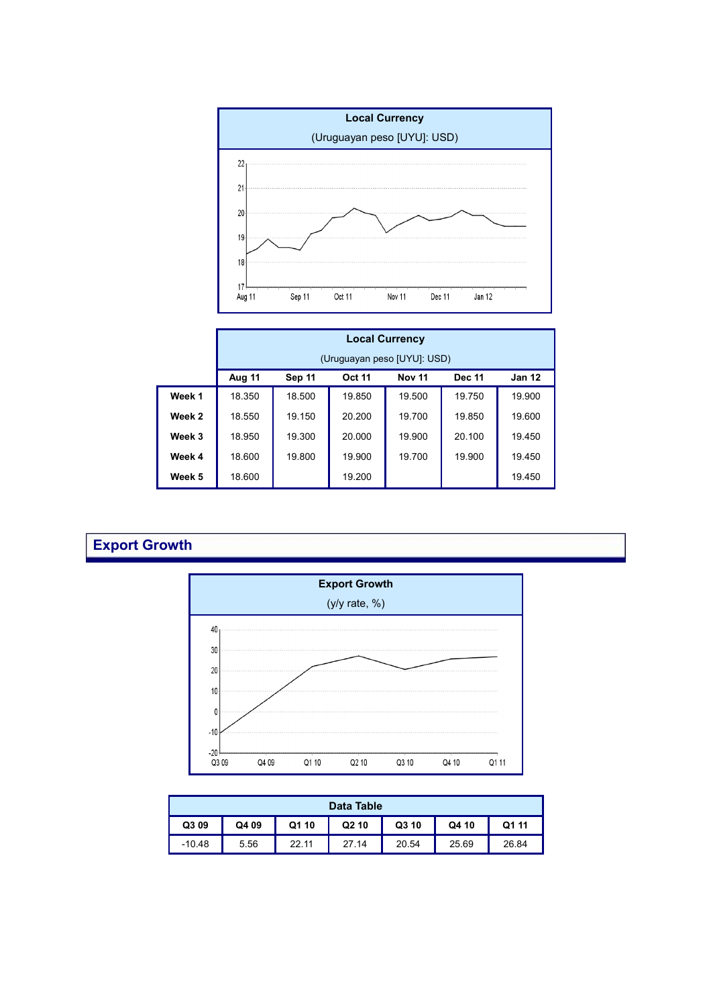

|                   | <b>Local Currency</b> |        |               |                             |               |               |
|-------------------|-----------------------|--------|---------------|-----------------------------|---------------|---------------|
|                   |                       |        |               | (Uruguayan peso [UYU]: USD) |               |               |
|                   | Aug 11                | Sep 11 | <b>Oct 11</b> | <b>Nov 11</b>               | <b>Dec 11</b> | <b>Jan 12</b> |
| Week 1            | 18.350                | 18.500 | 19.850        | 19.500                      | 19.750        | 19.900        |
| Week <sub>2</sub> | 18.550                | 19.150 | 20.200        | 19.700                      | 19.850        | 19.600        |
| Week 3            | 18.950                | 19.300 | 20,000        | 19.900                      | 20.100        | 19.450        |
| Week 4            | 18.600                | 19.800 | 19.900        | 19.700                      | 19.900        | 19.450        |
| Week 5            | 18.600                |        | 19.200        |                             |               | 19.450        |

## **Export Growth**



| Data Table |       |       |                   |       |       |       |
|------------|-------|-------|-------------------|-------|-------|-------|
| Q3 09      | Q4 09 | Q1 10 | Q <sub>2</sub> 10 | Q3 10 | Q4 10 | Q1 11 |
| $-10.48$   | 5.56  | 22.11 | 27.14             | 20.54 | 25.69 | 26.84 |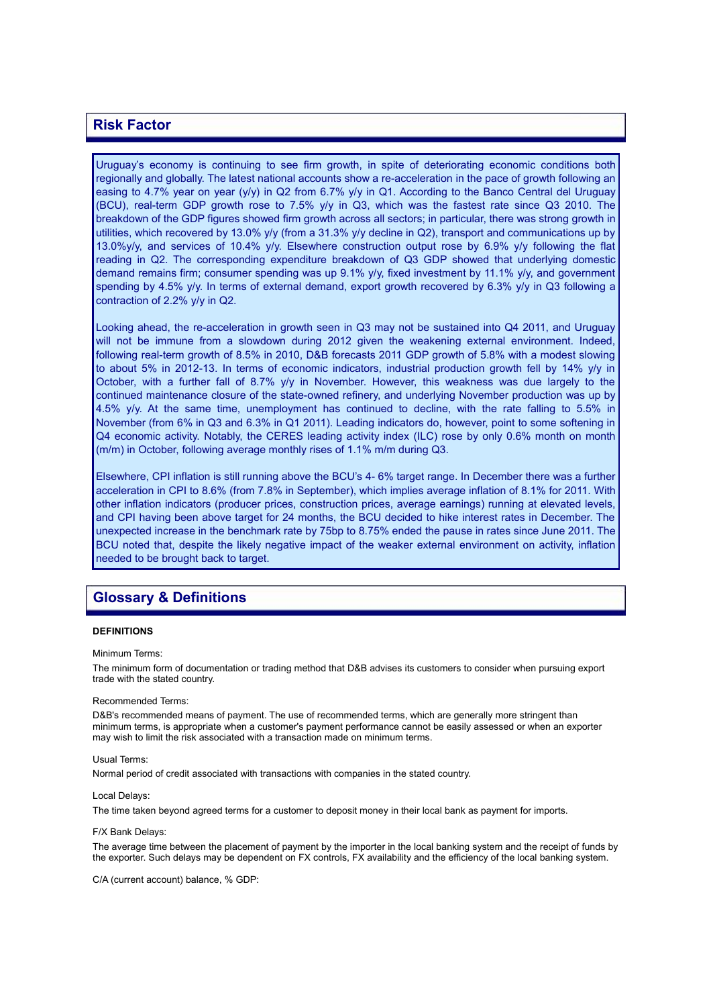## **Risk Factor**

Uruguay's economy is continuing to see firm growth, in spite of deteriorating economic conditions both regionally and globally. The latest national accounts show a re-acceleration in the pace of growth following an easing to 4.7% year on year (y/y) in Q2 from 6.7% y/y in Q1. According to the Banco Central del Uruguay (BCU), real-term GDP growth rose to 7.5% y/y in Q3, which was the fastest rate since Q3 2010. The breakdown of the GDP figures showed firm growth across all sectors; in particular, there was strong growth in utilities, which recovered by 13.0% y/y (from a 31.3% y/y decline in Q2), transport and communications up by 13.0%y/y, and services of 10.4% y/y. Elsewhere construction output rose by 6.9% y/y following the flat reading in Q2. The corresponding expenditure breakdown of Q3 GDP showed that underlying domestic demand remains firm; consumer spending was up 9.1% y/y, fixed investment by 11.1% y/y, and government spending by 4.5% y/y. In terms of external demand, export growth recovered by 6.3% y/y in Q3 following a contraction of 2.2% y/y in Q2.

Looking ahead, the re-acceleration in growth seen in Q3 may not be sustained into Q4 2011, and Uruguay will not be immune from a slowdown during 2012 given the weakening external environment. Indeed, following real-term growth of 8.5% in 2010, D&B forecasts 2011 GDP growth of 5.8% with a modest slowing to about 5% in 2012-13. In terms of economic indicators, industrial production growth fell by 14% y/y in October, with a further fall of 8.7% y/y in November. However, this weakness was due largely to the continued maintenance closure of the state-owned refinery, and underlying November production was up by 4.5% y/y. At the same time, unemployment has continued to decline, with the rate falling to 5.5% in November (from 6% in Q3 and 6.3% in Q1 2011). Leading indicators do, however, point to some softening in Q4 economic activity. Notably, the CERES leading activity index (ILC) rose by only 0.6% month on month (m/m) in October, following average monthly rises of 1.1% m/m during Q3.

Elsewhere, CPI inflation is still running above the BCU's 4- 6% target range. In December there was a further acceleration in CPI to 8.6% (from 7.8% in September), which implies average inflation of 8.1% for 2011. With other inflation indicators (producer prices, construction prices, average earnings) running at elevated levels, and CPI having been above target for 24 months, the BCU decided to hike interest rates in December. The unexpected increase in the benchmark rate by 75bp to 8.75% ended the pause in rates since June 2011. The BCU noted that, despite the likely negative impact of the weaker external environment on activity, inflation needed to be brought back to target.

## **Glossary & Definitions**

#### **DEFINITIONS**

Minimum Terms:

The minimum form of documentation or trading method that D&B advises its customers to consider when pursuing export trade with the stated country.

#### Recommended Terms:

D&B's recommended means of payment. The use of recommended terms, which are generally more stringent than minimum terms, is appropriate when a customer's payment performance cannot be easily assessed or when an exporter may wish to limit the risk associated with a transaction made on minimum terms.

#### Usual Terms:

Normal period of credit associated with transactions with companies in the stated country.

#### Local Delays:

The time taken beyond agreed terms for a customer to deposit money in their local bank as payment for imports.

#### F/X Bank Delays:

The average time between the placement of payment by the importer in the local banking system and the receipt of funds by the exporter. Such delays may be dependent on FX controls, FX availability and the efficiency of the local banking system.

C/A (current account) balance, % GDP: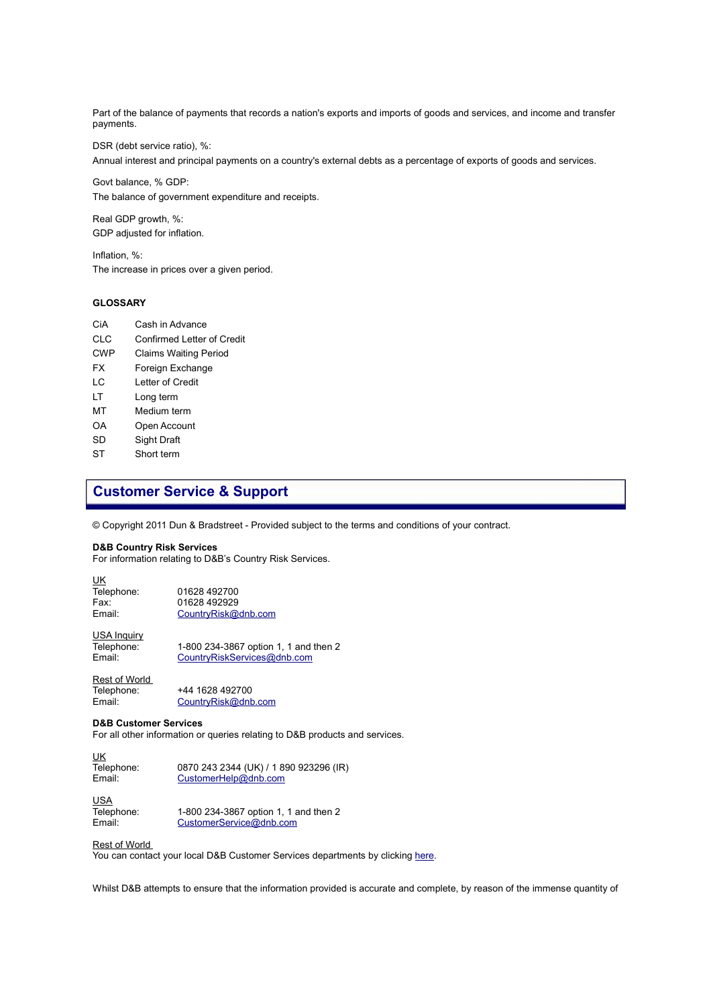Part of the balance of payments that records a nation's exports and imports of goods and services, and income and transfer payments.

DSR (debt service ratio), %:

Annual interest and principal payments on a country's external debts as a percentage of exports of goods and services.

Govt balance, % GDP: The balance of government expenditure and receipts.

Real GDP growth, %: GDP adjusted for inflation.

Inflation, %: The increase in prices over a given period.

#### **GLOSSARY**

- CiA Cash in Advance
- CLC Confirmed Letter of Credit
- CWP Claims Waiting Period
- FX Foreign Exchange
- LC Letter of Credit
- LT Long term
- MT Medium term
- OA Open Account
- SD Sight Draft
- ST Short term

## **Customer Service & Support**

© Copyright 2011 Dun & Bradstreet - Provided subject to the terms and conditions of your contract.

#### **D&B Country Risk Services**

For information relating to D&B's Country Risk Services.

| UK         |                     |
|------------|---------------------|
| Telephone: | 01628 492700        |
| Fax:       | 01628 492929        |
| Email:     | CountryRisk@dnb.com |
|            |                     |

USA Inquiry Telephone: 1-800 234-3867 option 1, 1 and then 2 Email: [CountryRiskServices@dnb.com](mailto:CountryRiskServices@dnb.com?subject=D&B%20Country%20Risk%20-%20Product%20Information)

Rest of World Telephone: +44 1628 492700<br>Email: CountryRisk@dnb [CountryRisk@dnb.com](mailto:CountryRisk@dnb.com?subject=D&B%20Country%20Risk%20-%20Product%20Information)

#### **D&B Customer Services**

For all other information or queries relating to D&B products and services.

UK

UK<br>Telephone: Telephone: 0870 243 2344 (UK) / 1 890 923296 (IR)<br>Email: CustomerHelp@dnb.com [CustomerHelp@dnb.com](mailto:CustomerHelp@dnb.com?subject=D&B%20Customer%20Services%20-%20Product%20Enquiry)

USA Telephone: 1-800 234-3867 option 1, 1 and then 2<br>
Email: CustomerService@dnb.com [CustomerService@dnb.com](mailto:CustomerService@dnb.com?subject=D&B%20Customer%20Services%20-%20Product%20Inquiry)

#### Rest of World

You can contact your local D&B Customer Services departments by clicking [here.](http://www.dnb.com/US/customer_service/global_listing.asp)

Whilst D&B attempts to ensure that the information provided is accurate and complete, by reason of the immense quantity of